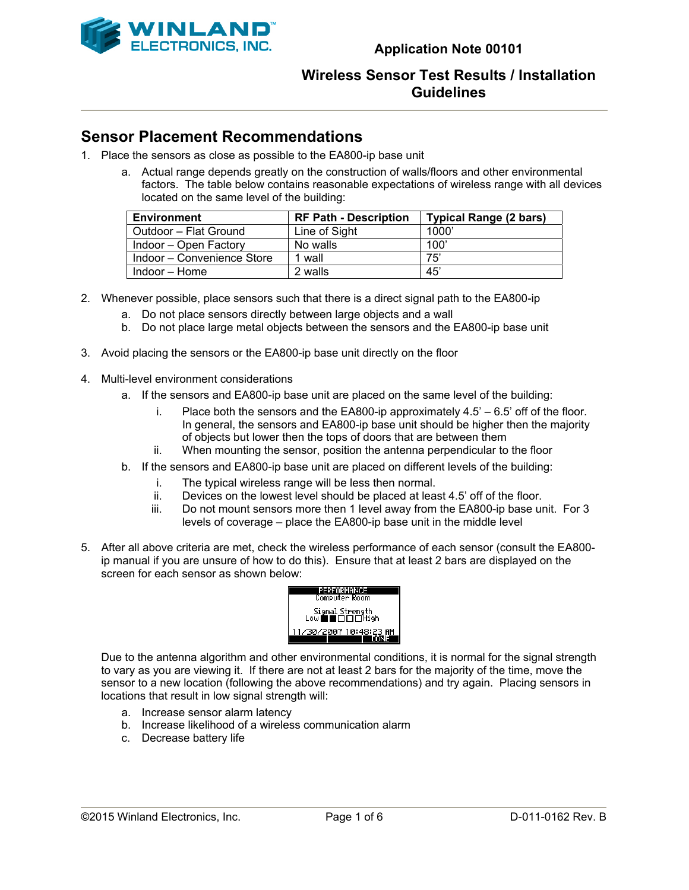

### **Sensor Placement Recommendations**

- 1. Place the sensors as close as possible to the EA800-ip base unit
	- a. Actual range depends greatly on the construction of walls/floors and other environmental factors. The table below contains reasonable expectations of wireless range with all devices located on the same level of the building:

| <b>Environment</b>         | <b>RF Path - Description</b> | <b>Typical Range (2 bars)</b> |
|----------------------------|------------------------------|-------------------------------|
| Outdoor – Flat Ground      | Line of Sight                | 1000                          |
| Indoor – Open Factory      | No walls                     | 100'                          |
| Indoor – Convenience Store | 1 wall                       | 75'                           |
| Indoor – Home              | 2 walls                      | 45'                           |

- 2. Whenever possible, place sensors such that there is a direct signal path to the EA800-ip
	- a. Do not place sensors directly between large objects and a wall
	- b. Do not place large metal objects between the sensors and the EA800-ip base unit
- 3. Avoid placing the sensors or the EA800-ip base unit directly on the floor
- 4. Multi-level environment considerations
	- a. If the sensors and EA800-ip base unit are placed on the same level of the building:
		- i. Place both the sensors and the EA800-ip approximately  $4.5' 6.5'$  off of the floor. In general, the sensors and EA800-ip base unit should be higher then the majority of objects but lower then the tops of doors that are between them
		- ii. When mounting the sensor, position the antenna perpendicular to the floor
	- b. If the sensors and EA800-ip base unit are placed on different levels of the building:
		- i. The typical wireless range will be less then normal.
		- ii. Devices on the lowest level should be placed at least 4.5' off of the floor.<br>iii. Do not mount sensors more then 1 level away from the EA800-ip base un
		- Do not mount sensors more then 1 level away from the EA800-ip base unit. For 3 levels of coverage – place the EA800-ip base unit in the middle level
- 5. After all above criteria are met, check the wireless performance of each sensor (consult the EA800 ip manual if you are unsure of how to do this). Ensure that at least 2 bars are displayed on the screen for each sensor as shown below:



Due to the antenna algorithm and other environmental conditions, it is normal for the signal strength to vary as you are viewing it. If there are not at least 2 bars for the majority of the time, move the sensor to a new location (following the above recommendations) and try again. Placing sensors in locations that result in low signal strength will:

- a. Increase sensor alarm latency
- b. Increase likelihood of a wireless communication alarm
- c. Decrease battery life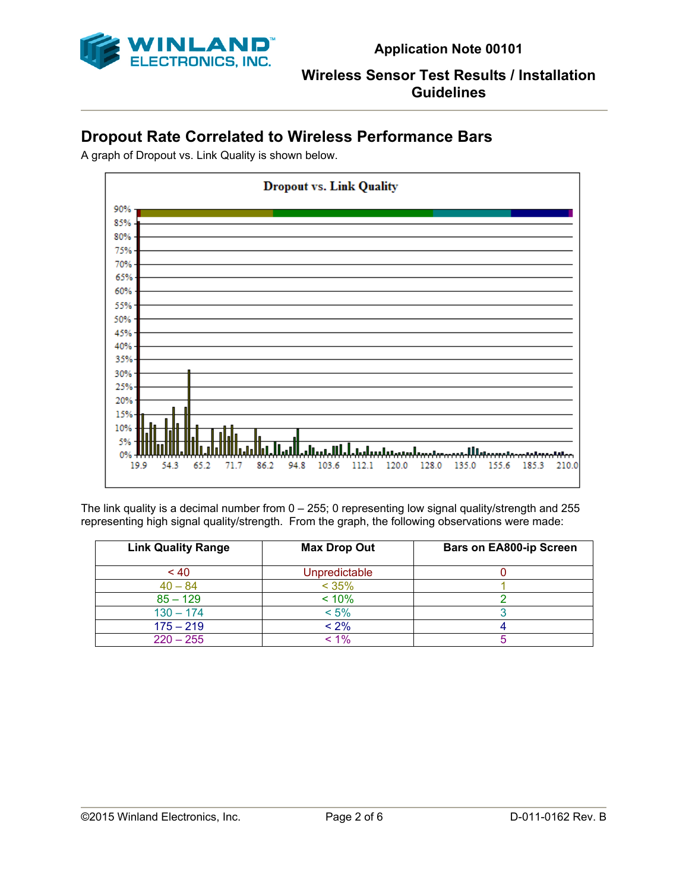

# **Dropout Rate Correlated to Wireless Performance Bars**

A graph of Dropout vs. Link Quality is shown below.



The link quality is a decimal number from 0 – 255; 0 representing low signal quality/strength and 255 representing high signal quality/strength. From the graph, the following observations were made:

| <b>Link Quality Range</b> | <b>Max Drop Out</b> | <b>Bars on EA800-ip Screen</b> |
|---------------------------|---------------------|--------------------------------|
| ~10                       | Unpredictable       |                                |
| $40 - 84$                 | < 35%               |                                |
| $85 - 129$                | < 10%               |                                |
| $130 - 174$               | $< 5\%$             |                                |
| $175 - 219$               | $< 2\%$             |                                |
| $220 - 255$               | < 1%                |                                |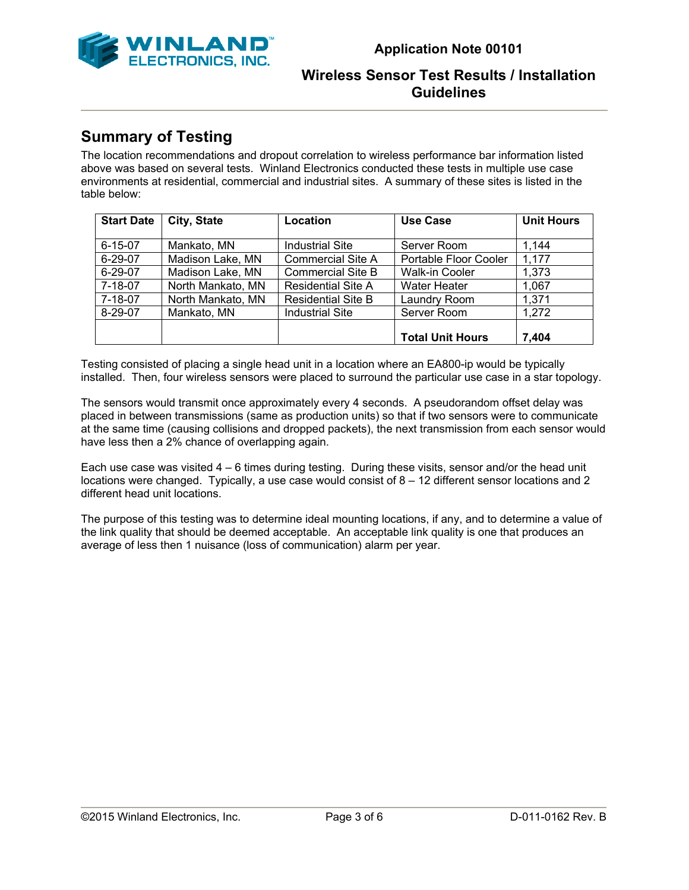

# **Summary of Testing**

The location recommendations and dropout correlation to wireless performance bar information listed above was based on several tests. Winland Electronics conducted these tests in multiple use case environments at residential, commercial and industrial sites. A summary of these sites is listed in the table below:

| <b>Start Date</b> | City, State       | Location                  | Use Case                | <b>Unit Hours</b> |
|-------------------|-------------------|---------------------------|-------------------------|-------------------|
|                   |                   |                           |                         |                   |
| $6 - 15 - 07$     | Mankato, MN       | <b>Industrial Site</b>    | Server Room             | 1.144             |
| $6 - 29 - 07$     | Madison Lake, MN  | <b>Commercial Site A</b>  | Portable Floor Cooler   | 1,177             |
| $6 - 29 - 07$     | Madison Lake, MN  | <b>Commercial Site B</b>  | <b>Walk-in Cooler</b>   | 1,373             |
| $7 - 18 - 07$     | North Mankato, MN | <b>Residential Site A</b> | <b>Water Heater</b>     | 1,067             |
| 7-18-07           | North Mankato, MN | <b>Residential Site B</b> | Laundry Room            | 1,371             |
| $8 - 29 - 07$     | Mankato, MN       | <b>Industrial Site</b>    | Server Room             | 1,272             |
|                   |                   |                           |                         |                   |
|                   |                   |                           | <b>Total Unit Hours</b> | 7.404             |

Testing consisted of placing a single head unit in a location where an EA800-ip would be typically installed. Then, four wireless sensors were placed to surround the particular use case in a star topology.

The sensors would transmit once approximately every 4 seconds. A pseudorandom offset delay was placed in between transmissions (same as production units) so that if two sensors were to communicate at the same time (causing collisions and dropped packets), the next transmission from each sensor would have less then a 2% chance of overlapping again.

Each use case was visited  $4 - 6$  times during testing. During these visits, sensor and/or the head unit locations were changed. Typically, a use case would consist of 8 – 12 different sensor locations and 2 different head unit locations.

The purpose of this testing was to determine ideal mounting locations, if any, and to determine a value of the link quality that should be deemed acceptable. An acceptable link quality is one that produces an average of less then 1 nuisance (loss of communication) alarm per year.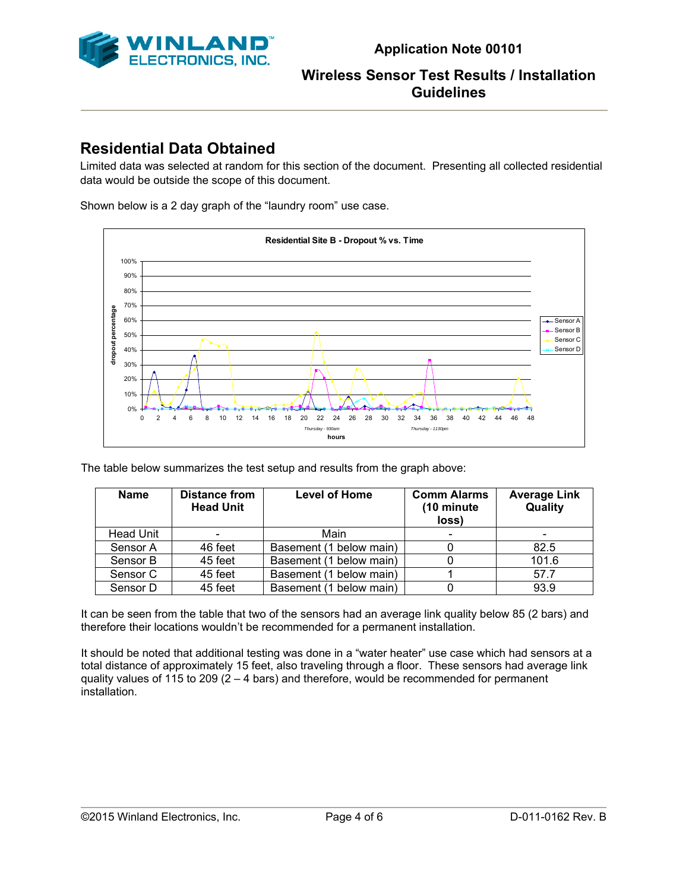

# **Residential Data Obtained**

Limited data was selected at random for this section of the document. Presenting all collected residential data would be outside the scope of this document.

Shown below is a 2 day graph of the "laundry room" use case.



The table below summarizes the test setup and results from the graph above:

| <b>Name</b>      | <b>Distance from</b><br><b>Head Unit</b> | <b>Level of Home</b>    | <b>Comm Alarms</b><br>(10 minute)<br>loss) | <b>Average Link</b><br>Quality |
|------------------|------------------------------------------|-------------------------|--------------------------------------------|--------------------------------|
| <b>Head Unit</b> | $\qquad \qquad$                          | Main                    |                                            |                                |
| Sensor A         | 46 feet                                  | Basement (1 below main) |                                            | 82.5                           |
| Sensor B         | 45 feet                                  | Basement (1 below main) |                                            | 101.6                          |
| Sensor C         | 45 feet                                  | Basement (1 below main) |                                            | 57.7                           |
| Sensor D         | 45 feet                                  | Basement (1 below main) |                                            | 93.9                           |

It can be seen from the table that two of the sensors had an average link quality below 85 (2 bars) and therefore their locations wouldn't be recommended for a permanent installation.

It should be noted that additional testing was done in a "water heater" use case which had sensors at a total distance of approximately 15 feet, also traveling through a floor. These sensors had average link quality values of 115 to 209  $(2 - 4 \text{ bars})$  and therefore, would be recommended for permanent installation.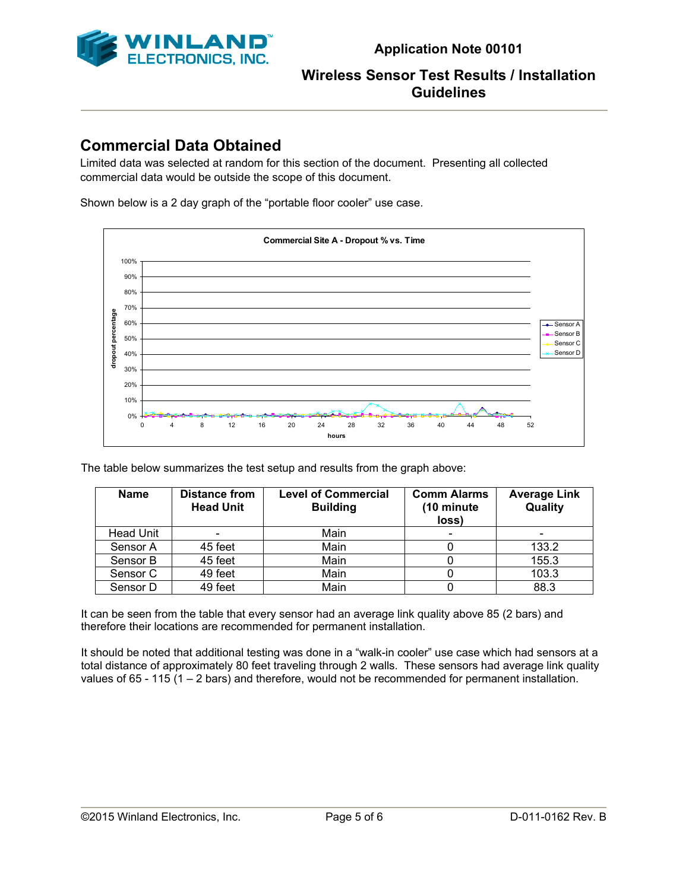

# **Commercial Data Obtained**

Limited data was selected at random for this section of the document. Presenting all collected commercial data would be outside the scope of this document.

Shown below is a 2 day graph of the "portable floor cooler" use case.



The table below summarizes the test setup and results from the graph above:

| <b>Name</b>      | <b>Distance from</b><br><b>Head Unit</b> | <b>Level of Commercial</b><br><b>Building</b> | <b>Comm Alarms</b><br>(10 minute)<br>loss) | <b>Average Link</b><br>Quality |
|------------------|------------------------------------------|-----------------------------------------------|--------------------------------------------|--------------------------------|
| <b>Head Unit</b> | $\qquad \qquad \blacksquare$             | Main                                          |                                            |                                |
| Sensor A         | 45 feet                                  | Main                                          |                                            | 133.2                          |
| Sensor B         | 45 feet                                  | Main                                          |                                            | 155.3                          |
| Sensor C         | 49 feet                                  | Main                                          |                                            | 103.3                          |
| Sensor D         | 49 feet                                  | Main                                          |                                            | 88.3                           |

It can be seen from the table that every sensor had an average link quality above 85 (2 bars) and therefore their locations are recommended for permanent installation.

It should be noted that additional testing was done in a "walk-in cooler" use case which had sensors at a total distance of approximately 80 feet traveling through 2 walls. These sensors had average link quality values of 65 - 115 (1 – 2 bars) and therefore, would not be recommended for permanent installation.